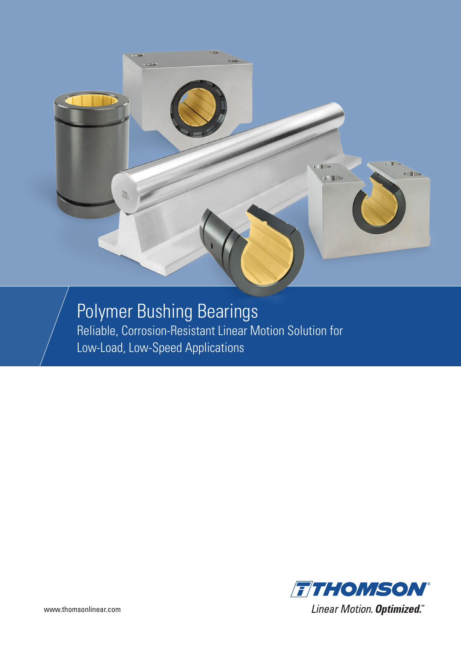

Polymer Bushing Bearings Reliable, Corrosion-Resistant Linear Motion Solution for Low-Load, Low-Speed Applications

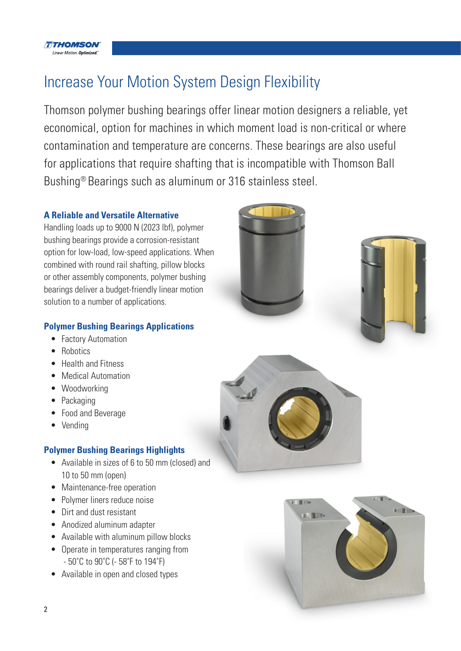

## Increase Your Motion System Design Flexibility

Thomson polymer bushing bearings offer linear motion designers a reliable, yet economical, option for machines in which moment load is non-critical or where contamination and temperature are concerns. These bearings are also useful for applications that require shafting that is incompatible with Thomson Ball Bushing® Bearings such as aluminum or 316 stainless steel.

### **A Reliable and Versatile Alternative**

Handling loads up to 9000 N (2023 lbf), polymer bushing bearings provide a corrosion-resistant option for low-load, low-speed applications. When combined with round rail shafting, pillow blocks or other assembly components, polymer bushing bearings deliver a budget-friendly linear motion solution to a number of applications.

### **Polymer Bushing Bearings Applications**

- Factory Automation
- Robotics
- Health and Fitness
- Medical Automation
- Woodworking
- Packaging
- Food and Beverage
- Vending

### **Polymer Bushing Bearings Highlights**

- Available in sizes of 6 to 50 mm (closed) and 10 to 50 mm (open)
- Maintenance-free operation
- Polymer liners reduce noise
- Dirt and dust resistant
- Anodized aluminum adapter
- Available with aluminum pillow blocks
- Operate in temperatures ranging from - 50˚C to 90˚C (- 58˚F to 194˚F)
- Available in open and closed types





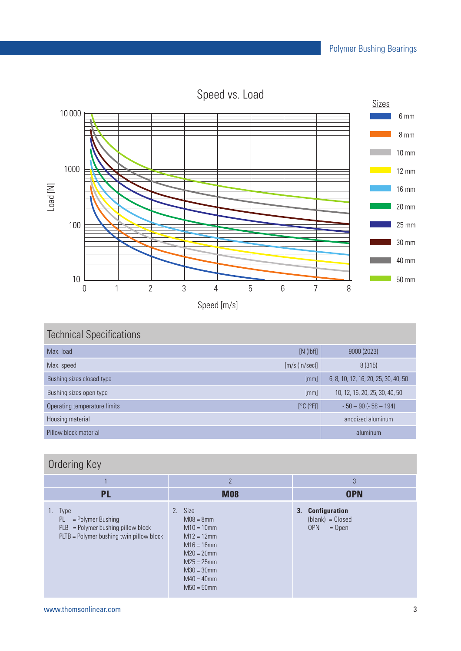Speed vs. Load



## Technical Specifications Max. load [N (lbf)] 9000 (2023) Max. speed [m/s (in/sec)] 8 (315) Bushing sizes closed type **EXES** and the extent of the extent of the extent of the extent of the extendition of the extendition of the extendition of the extendition of the extendition of the extendition of the extendition Bushing sizes open type **[mm]** 10, 12, 16, 20, 25, 30, 40, 50 Operating temperature limits  $[°C (°F)]$  - 50 – 90 (- 58 – 194) Housing material and the contract of the contract of the contract of the contract of the contract of the contract of the contract of the contract of the contract of the contract of the contract of the contract of the contr

## Ordering Key

| ____<br>◡<br>$\sim$ $\sim$ $\sim$ $\sim$                                                                                   |                                                                                                                                                                 |                                                                  |
|----------------------------------------------------------------------------------------------------------------------------|-----------------------------------------------------------------------------------------------------------------------------------------------------------------|------------------------------------------------------------------|
|                                                                                                                            | $\overline{2}$                                                                                                                                                  | 3                                                                |
| <b>PL</b>                                                                                                                  | <b>M08</b>                                                                                                                                                      | <b>OPN</b>                                                       |
| 1. Type<br>PL -<br>$=$ Polymer Bushing<br>$PLB =$ Polymer bushing pillow block<br>PLTB = Polymer bushing twin pillow block | 2. Size<br>$M08 = 8$ mm<br>$M10 = 10$ mm<br>$M12 = 12$ mm<br>$M16 = 16$ mm<br>$M20 = 20$ mm<br>$M25 = 25$ mm<br>$M30 = 30$ mm<br>$M40 = 40$ mm<br>$M50 = 50$ mm | 3. Configuration<br>$(blank) = Closed$<br><b>OPN</b><br>$=$ Open |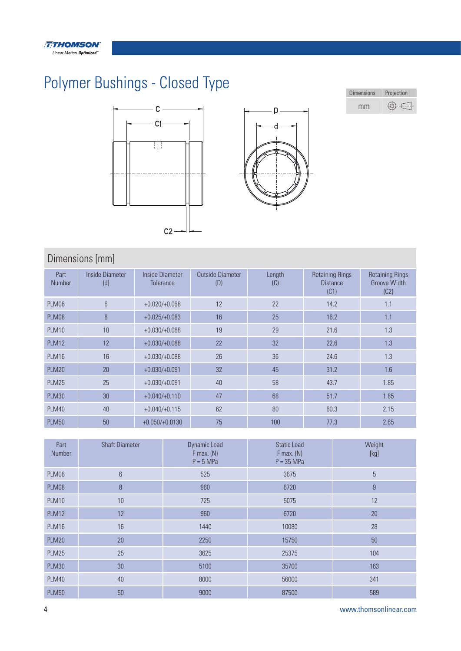# Polymer Bushings - Closed Type





| <b>Dimensions</b> | Projection |
|-------------------|------------|
| mm                |            |

### Dimensions [mm]

| Part<br><b>Number</b> | Inside Diameter<br>(d) | Inside Diameter<br><b>Tolerance</b> | Outside Diameter<br>(D) | Length<br>(C) | <b>Retaining Rings</b><br><b>Distance</b><br>(C1) | <b>Retaining Rings</b><br><b>Groove Width</b><br>(C2) |
|-----------------------|------------------------|-------------------------------------|-------------------------|---------------|---------------------------------------------------|-------------------------------------------------------|
| PLM06                 | 6                      | $+0.020/+0.068$                     | 12                      | 22            | 14.2                                              | 1.1                                                   |
| PLM08                 | $\, 8$                 | $+0.025/+0.083$                     | 16                      | 25            | 16.2                                              | 1.1                                                   |
| <b>PLM10</b>          | 10                     | $+0.030/+0.088$                     | 19                      | 29            | 21.6                                              | 1.3                                                   |
| <b>PLM12</b>          | 12                     | $+0.030/+0.088$                     | 22                      | 32            | 22.6                                              | 1.3                                                   |
| <b>PLM16</b>          | 16                     | $+0.030/+0.088$                     | 26                      | 36            | 24.6                                              | 1.3                                                   |
| <b>PLM20</b>          | 20                     | $+0.030/+0.091$                     | 32                      | 45            | 31.2                                              | 1.6                                                   |
| <b>PLM25</b>          | 25                     | $+0.030/+0.091$                     | 40                      | 58            | 43.7                                              | 1.85                                                  |
| <b>PLM30</b>          | 30                     | $+0.040/+0.110$                     | 47                      | 68            | 51.7                                              | 1.85                                                  |
| <b>PLM40</b>          | 40                     | $+0.040/+0.115$                     | 62                      | 80            | 60.3                                              | 2.15                                                  |
| <b>PLM50</b>          | 50                     | $+0.050/+0.0130$                    | 75                      | 100           | 77.3                                              | 2.65                                                  |

| Part<br>Number | <b>Shaft Diameter</b> | Dynamic Load<br>$F$ max. $(N)$<br>$P = 5 MPa$ | <b>Static Load</b><br>$F$ max. $(N)$<br>$P = 35 MPa$ | Weight<br>[kg] |
|----------------|-----------------------|-----------------------------------------------|------------------------------------------------------|----------------|
| PLM06          | $6\,$                 | 525                                           | 3675                                                 | 5              |
| PLM08          | 8                     | 960                                           | 6720                                                 | 9              |
| <b>PLM10</b>   | 10                    | 725                                           | 5075                                                 | 12             |
| <b>PLM12</b>   | 12                    | 960                                           | 6720                                                 | 20             |
| <b>PLM16</b>   | 16                    | 1440                                          | 10080                                                | 28             |
| <b>PLM20</b>   | 20                    | 2250                                          | 15750                                                | 50             |
| <b>PLM25</b>   | 25                    | 3625                                          | 25375                                                | 104            |
| <b>PLM30</b>   | 30                    | 5100                                          | 35700                                                | 163            |
| <b>PLM40</b>   | 40                    | 8000                                          | 56000                                                | 341            |
| <b>PLM50</b>   | 50                    | 9000                                          | 87500                                                | 589            |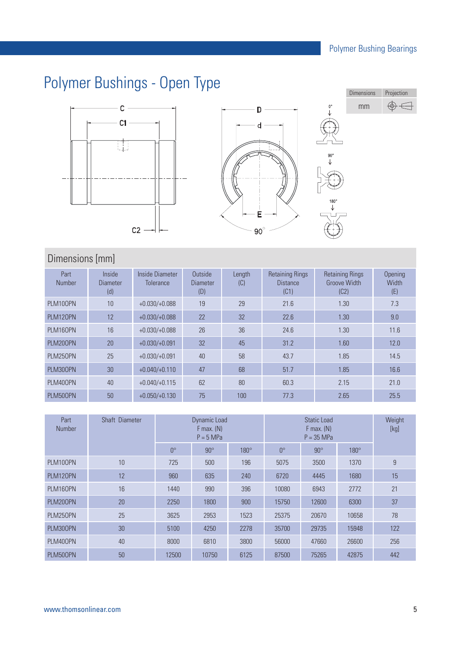# Polymer Bushings - Open Type







### Dimensions [mm]

| Part<br>Number | Inside<br><b>Diameter</b><br>(d) | Inside Diameter<br><b>Tolerance</b> | Outside<br><b>Diameter</b><br>(D) | Length<br>(C) | <b>Retaining Rings</b><br><b>Distance</b><br>(C1) | <b>Retaining Rings</b><br><b>Groove Width</b><br>(C2) | Opening<br>Width<br>(E) |
|----------------|----------------------------------|-------------------------------------|-----------------------------------|---------------|---------------------------------------------------|-------------------------------------------------------|-------------------------|
| PLM100PN       | 10                               | $+0.030/+0.088$                     | 19                                | 29            | 21.6                                              | 1.30                                                  | 7.3                     |
| PLM120PN       | 12                               | $+0.030/+0.088$                     | 22                                | 32            | 22.6                                              | 1.30                                                  | 9.0                     |
| PLM160PN       | 16                               | $+0.030/+0.088$                     | 26                                | 36            | 24.6                                              | 1.30                                                  | 11.6                    |
| PLM200PN       | 20                               | $+0.030/+0.091$                     | 32                                | 45            | 31.2                                              | 1.60                                                  | 12.0                    |
| PLM250PN       | 25                               | $+0.030/+0.091$                     | 40                                | 58            | 43.7                                              | 1.85                                                  | 14.5                    |
| PLM300PN       | 30                               | $+0.040/+0.110$                     | 47                                | 68            | 51.7                                              | 1.85                                                  | 16.6                    |
| PLM400PN       | 40                               | $+0.040/+0.115$                     | 62                                | 80            | 60.3                                              | 2.15                                                  | 21.0                    |
| PLM500PN       | 50                               | $+0.050/+0.130$                     | 75                                | 100           | 77.3                                              | 2.65                                                  | 25.5                    |

| Part<br><b>Number</b> | Shaft Diameter |             | Dynamic Load<br>$F$ max. $(N)$<br>$P = 5 MPa$ |             |             | Weight<br>[kg] |             |     |  |
|-----------------------|----------------|-------------|-----------------------------------------------|-------------|-------------|----------------|-------------|-----|--|
|                       |                | $0^{\circ}$ | $90^\circ$                                    | $180^\circ$ | $0^{\circ}$ | $90^\circ$     | $180^\circ$ |     |  |
| PLM100PN              | 10             | 725         | 500                                           | 196         | 5075        | 3500           | 1370        | 9   |  |
| PLM120PN              | 12             | 960         | 635                                           | 240         | 6720        | 4445           | 1680        | 15  |  |
| PLM160PN              | 16             | 1440        | 990                                           | 396         | 10080       | 6943           | 2772        | 21  |  |
| PLM200PN              | 20             | 2250        | 1800                                          | 900         | 15750       | 12600          | 6300        | 37  |  |
| PLM250PN              | 25             | 3625        | 2953                                          | 1523        | 25375       | 20670          | 10658       | 78  |  |
| PLM300PN              | 30             | 5100        | 4250                                          | 2278        | 35700       | 29735          | 15948       | 122 |  |
| PLM400PN              | 40             | 8000        | 6810                                          | 3800        | 56000       | 47660          | 26600       | 256 |  |
| PLM500PN              | 50             | 12500       | 10750                                         | 6125        | 87500       | 75265          | 42875       | 442 |  |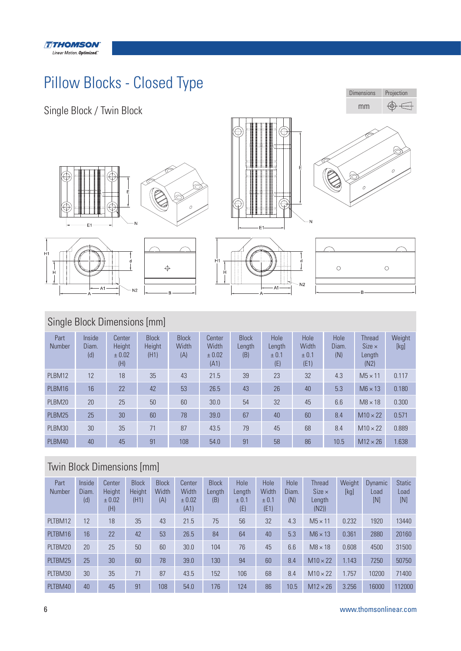

# Pillow Blocks - Closed Type



## Single Block Dimensions [mm]

| Part<br>Number | Inside<br>Diam.<br>(d) | Center<br>Height<br>± 0.02<br>(H) | <b>Block</b><br><b>Height</b><br>(H1) | <b>Block</b><br>Width<br>(A) | Center<br>Width<br>± 0.02<br>(A1) | <b>Block</b><br>Length<br>(B) | Hole<br>Length<br>± 0.1<br>(E) | Hole<br>Width<br>± 0.1<br>(E1) | Hole<br>Diam.<br>(N) | <b>Thread</b><br>$Size \times$<br>Length<br>(N2) | Weight<br>[kg] |
|----------------|------------------------|-----------------------------------|---------------------------------------|------------------------------|-----------------------------------|-------------------------------|--------------------------------|--------------------------------|----------------------|--------------------------------------------------|----------------|
| PLBM12         | 12                     | 18                                | 35                                    | 43                           | 21.5                              | 39                            | 23                             | 32                             | 4.3                  | $M5 \times 11$                                   | 0.117          |
| PLBM16         | 16                     | 22                                | 42                                    | 53                           | 26.5                              | 43                            | 26                             | 40                             | 5.3                  | $M6 \times 13$                                   | 0.180          |
| PLBM20         | 20                     | 25                                | 50                                    | 60                           | 30.0                              | 54                            | 32                             | 45                             | 6.6                  | $M8 \times 18$                                   | 0.300          |
| PLBM25         | 25                     | 30                                | 60                                    | 78                           | 39.0                              | 67                            | 40                             | 60                             | 8.4                  | $M10 \times 22$                                  | 0.571          |
| PLBM30         | 30                     | 35                                | 71                                    | 87                           | 43.5                              | 79                            | 45                             | 68                             | 8.4                  | $M10 \times 22$                                  | 0.889          |
| PLBM40         | 40                     | 45                                | 91                                    | 108                          | 54.0                              | 91                            | 58                             | 86                             | 10.5                 | $M12 \times 26$                                  | 1.638          |

### Twin Block Dimensions [mm]

| Part<br><b>Number</b> | Inside<br>Diam.<br>(d) | Center<br>Height<br>± 0.02<br>(H) | <b>Block</b><br>Height<br>(H1) | <b>Block</b><br>Width<br>(A) | Center<br>Width<br>± 0.02<br>(A1) | <b>Block</b><br>Length<br>(B) | Hole<br>Length<br>± 0.1<br>(E) | Hole<br>Width<br>± 0.1<br>(E1) | Hole<br>Diam.<br>(N) | <b>Thread</b><br>$Size \times$<br>Length<br>(N2) | Weight<br>[kg] | Dynamic<br>Load<br>[N] | <b>Static</b><br>Load<br>[N] |
|-----------------------|------------------------|-----------------------------------|--------------------------------|------------------------------|-----------------------------------|-------------------------------|--------------------------------|--------------------------------|----------------------|--------------------------------------------------|----------------|------------------------|------------------------------|
| PLTBM12               | 12                     | 18                                | 35                             | 43                           | 21.5                              | 75                            | 56                             | 32                             | 4.3                  | $M5 \times 11$                                   | 0.232          | 1920                   | 13440                        |
| PLTBM16               | 16                     | 22                                | 42                             | 53                           | 26.5                              | 84                            | 64                             | 40                             | 5.3                  | $M6 \times 13$                                   | 0.361          | 2880                   | 20160                        |
| PLTBM20               | 20                     | 25                                | 50                             | 60                           | 30.0                              | 104                           | 76                             | 45                             | 6.6                  | $M8 \times 18$                                   | 0.608          | 4500                   | 31500                        |
| PLTBM25               | 25                     | 30                                | 60                             | 78                           | 39.0                              | 130                           | 94                             | 60                             | 8.4                  | $M10 \times 22$                                  | 1.143          | 7250                   | 50750                        |
| PLTBM30               | 30                     | 35                                | 71                             | 87                           | 43.5                              | 152                           | 106                            | 68                             | 8.4                  | $M10 \times 22$                                  | 1.757          | 10200                  | 71400                        |
| PLTBM40               | 40                     | 45                                | 91                             | 108                          | 54.0                              | 176                           | 124                            | 86                             | 10.5                 | $M12 \times 26$                                  | 3.256          | 16000                  | 112000                       |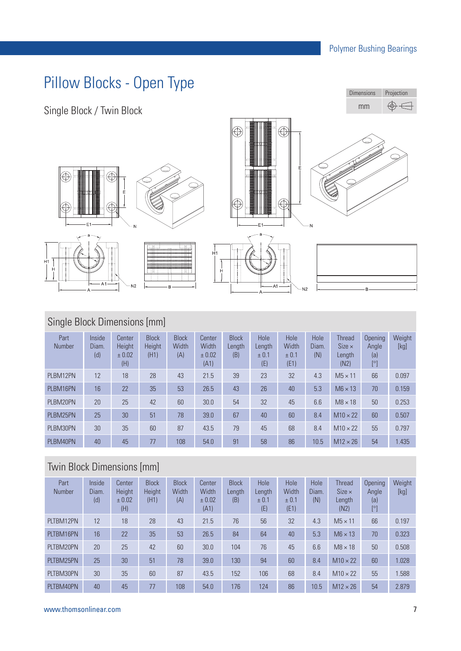# Pillow Blocks - Open Type



### Single Block Dimensions [mm]

| Part<br>Number | Inside<br>Diam.<br>(d) | Center<br>Height<br>± 0.02<br>(H) | <b>Block</b><br>Height<br>(H1) | <b>Block</b><br>Width<br>(A) | Center<br>Width<br>± 0.02<br>(A1) | <b>Block</b><br>Length<br>(B) | Hole<br>Length<br>± 0.1<br>(E) | Hole<br><b>Width</b><br>± 0.1<br>(E1) | Hole<br>Diam.<br>(N) | <b>Thread</b><br>$Size \times$<br>Length<br>(N2) | Opening<br>Angle<br>(a)<br>$[^{\circ}]$ | Weight<br>[kg] |
|----------------|------------------------|-----------------------------------|--------------------------------|------------------------------|-----------------------------------|-------------------------------|--------------------------------|---------------------------------------|----------------------|--------------------------------------------------|-----------------------------------------|----------------|
| PLBM12PN       | 12                     | 18                                | 28                             | 43                           | 21.5                              | 39                            | 23                             | 32                                    | 4.3                  | $M5 \times 11$                                   | 66                                      | 0.097          |
| PLBM16PN       | 16                     | 22                                | 35                             | 53                           | 26.5                              | 43                            | 26                             | 40                                    | 5.3                  | $M6 \times 13$                                   | 70                                      | 0.159          |
| PLBM20PN       | 20                     | 25                                | 42                             | 60                           | 30.0                              | 54                            | 32                             | 45                                    | 6.6                  | $M8 \times 18$                                   | 50                                      | 0.253          |
| PLBM25PN       | 25                     | 30                                | 51                             | 78                           | 39.0                              | 67                            | 40                             | 60                                    | 8.4                  | $M10 \times 22$                                  | 60                                      | 0.507          |
| PLBM30PN       | 30                     | 35                                | 60                             | 87                           | 43.5                              | 79                            | 45                             | 68                                    | 8.4                  | $M10 \times 22$                                  | 55                                      | 0.797          |
| PLBM40PN       | 40                     | 45                                | 77                             | 108                          | 54.0                              | 91                            | 58                             | 86                                    | 10.5                 | $M12 \times 26$                                  | 54                                      | 1.435          |

### Twin Block Dimensions [mm]

| Part<br><b>Number</b> | Inside<br>Diam.<br>(d) | Center<br><b>Height</b><br>± 0.02<br>(H) | <b>Block</b><br>Height<br>(H1) | <b>Block</b><br><b>Width</b><br>(A) | Center<br>Width<br>± 0.02<br>(A1) | <b>Block</b><br>Length<br>(B) | Hole<br>Length<br>± 0.1<br>(E) | Hole<br>Width<br>± 0.1<br>(E1) | Hole<br>Diam.<br>(N) | <b>Thread</b><br>$Size \times$<br>Length<br>(N2) | <b>Opening</b><br>Angle<br>(a)<br>[°] | Weight<br>[kg] |
|-----------------------|------------------------|------------------------------------------|--------------------------------|-------------------------------------|-----------------------------------|-------------------------------|--------------------------------|--------------------------------|----------------------|--------------------------------------------------|---------------------------------------|----------------|
| PLTBM12PN             | 12                     | 18                                       | 28                             | 43                                  | 21.5                              | 76                            | 56                             | 32                             | 4.3                  | $M5 \times 11$                                   | 66                                    | 0.197          |
| PLTBM16PN             | 16                     | 22                                       | 35                             | 53                                  | 26.5                              | 84                            | 64                             | 40                             | 5.3                  | $M6 \times 13$                                   | 70                                    | 0.323          |
| PLTBM20PN             | 20                     | 25                                       | 42                             | 60                                  | 30.0                              | 104                           | 76                             | 45                             | 6.6                  | $M8 \times 18$                                   | 50                                    | 0.508          |
| PLTBM25PN             | 25                     | 30                                       | 51                             | 78                                  | 39.0                              | 130                           | 94                             | 60                             | 8.4                  | $M10 \times 22$                                  | 60                                    | 1.028          |
| PLTBM30PN             | 30                     | 35                                       | 60                             | 87                                  | 43.5                              | 152                           | 106                            | 68                             | 8.4                  | $M10 \times 22$                                  | 55                                    | 1.588          |
| PLTBM40PN             | 40                     | 45                                       | 77                             | 108                                 | 54.0                              | 176                           | 124                            | 86                             | 10.5                 | $M12 \times 26$                                  | 54                                    | 2.879          |